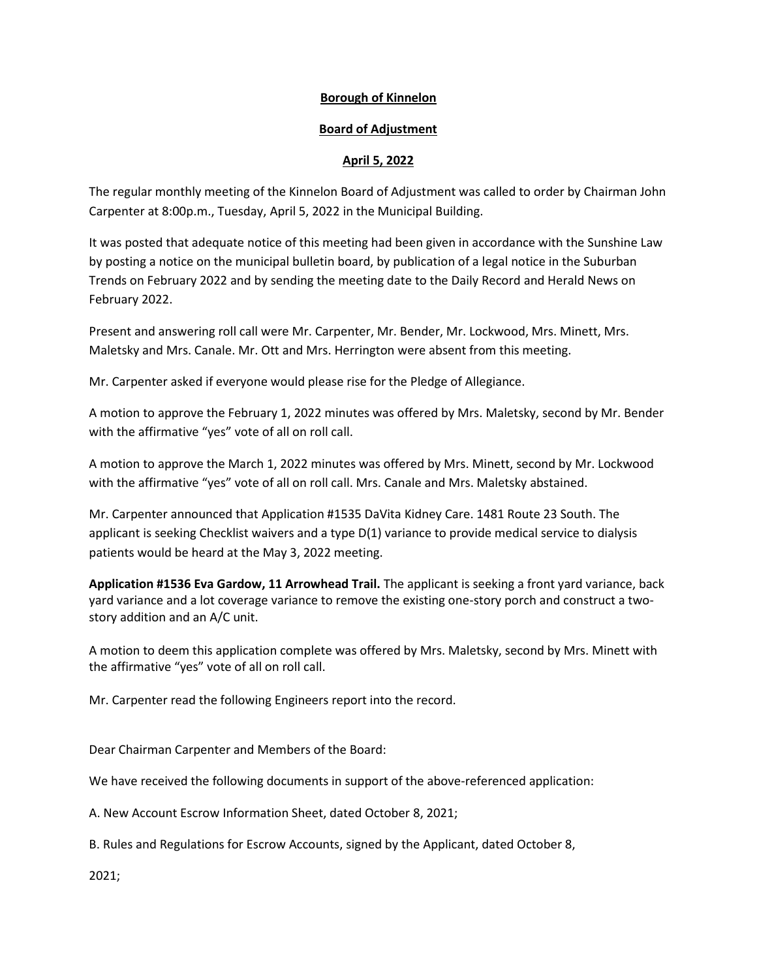# **Borough of Kinnelon**

# **Board of Adjustment**

# **April 5, 2022**

The regular monthly meeting of the Kinnelon Board of Adjustment was called to order by Chairman John Carpenter at 8:00p.m., Tuesday, April 5, 2022 in the Municipal Building.

It was posted that adequate notice of this meeting had been given in accordance with the Sunshine Law by posting a notice on the municipal bulletin board, by publication of a legal notice in the Suburban Trends on February 2022 and by sending the meeting date to the Daily Record and Herald News on February 2022.

Present and answering roll call were Mr. Carpenter, Mr. Bender, Mr. Lockwood, Mrs. Minett, Mrs. Maletsky and Mrs. Canale. Mr. Ott and Mrs. Herrington were absent from this meeting.

Mr. Carpenter asked if everyone would please rise for the Pledge of Allegiance.

A motion to approve the February 1, 2022 minutes was offered by Mrs. Maletsky, second by Mr. Bender with the affirmative "yes" vote of all on roll call.

A motion to approve the March 1, 2022 minutes was offered by Mrs. Minett, second by Mr. Lockwood with the affirmative "yes" vote of all on roll call. Mrs. Canale and Mrs. Maletsky abstained.

Mr. Carpenter announced that Application #1535 DaVita Kidney Care. 1481 Route 23 South. The applicant is seeking Checklist waivers and a type D(1) variance to provide medical service to dialysis patients would be heard at the May 3, 2022 meeting.

**Application #1536 Eva Gardow, 11 Arrowhead Trail.** The applicant is seeking a front yard variance, back yard variance and a lot coverage variance to remove the existing one-story porch and construct a twostory addition and an A/C unit.

A motion to deem this application complete was offered by Mrs. Maletsky, second by Mrs. Minett with the affirmative "yes" vote of all on roll call.

Mr. Carpenter read the following Engineers report into the record.

Dear Chairman Carpenter and Members of the Board:

We have received the following documents in support of the above-referenced application:

A. New Account Escrow Information Sheet, dated October 8, 2021;

B. Rules and Regulations for Escrow Accounts, signed by the Applicant, dated October 8,

2021;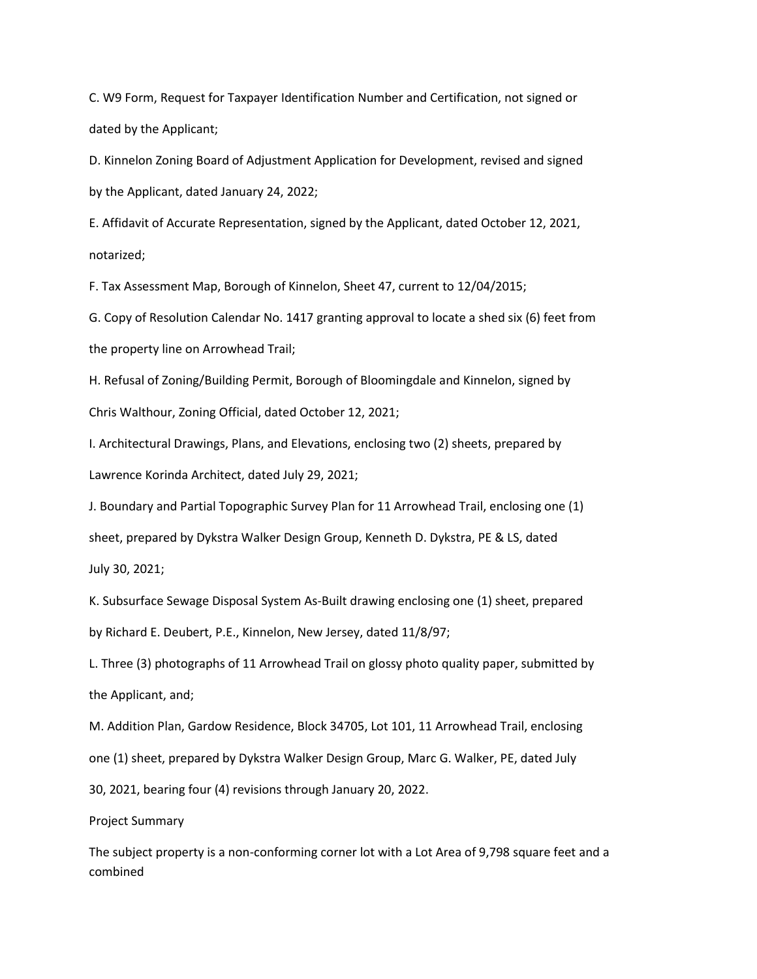C. W9 Form, Request for Taxpayer Identification Number and Certification, not signed or dated by the Applicant;

D. Kinnelon Zoning Board of Adjustment Application for Development, revised and signed by the Applicant, dated January 24, 2022;

E. Affidavit of Accurate Representation, signed by the Applicant, dated October 12, 2021, notarized;

F. Tax Assessment Map, Borough of Kinnelon, Sheet 47, current to 12/04/2015;

G. Copy of Resolution Calendar No. 1417 granting approval to locate a shed six (6) feet from the property line on Arrowhead Trail;

H. Refusal of Zoning/Building Permit, Borough of Bloomingdale and Kinnelon, signed by Chris Walthour, Zoning Official, dated October 12, 2021;

I. Architectural Drawings, Plans, and Elevations, enclosing two (2) sheets, prepared by Lawrence Korinda Architect, dated July 29, 2021;

J. Boundary and Partial Topographic Survey Plan for 11 Arrowhead Trail, enclosing one (1)

sheet, prepared by Dykstra Walker Design Group, Kenneth D. Dykstra, PE & LS, dated

July 30, 2021;

K. Subsurface Sewage Disposal System As-Built drawing enclosing one (1) sheet, prepared by Richard E. Deubert, P.E., Kinnelon, New Jersey, dated 11/8/97;

L. Three (3) photographs of 11 Arrowhead Trail on glossy photo quality paper, submitted by the Applicant, and;

M. Addition Plan, Gardow Residence, Block 34705, Lot 101, 11 Arrowhead Trail, enclosing one (1) sheet, prepared by Dykstra Walker Design Group, Marc G. Walker, PE, dated July 30, 2021, bearing four (4) revisions through January 20, 2022.

Project Summary

The subject property is a non-conforming corner lot with a Lot Area of 9,798 square feet and a combined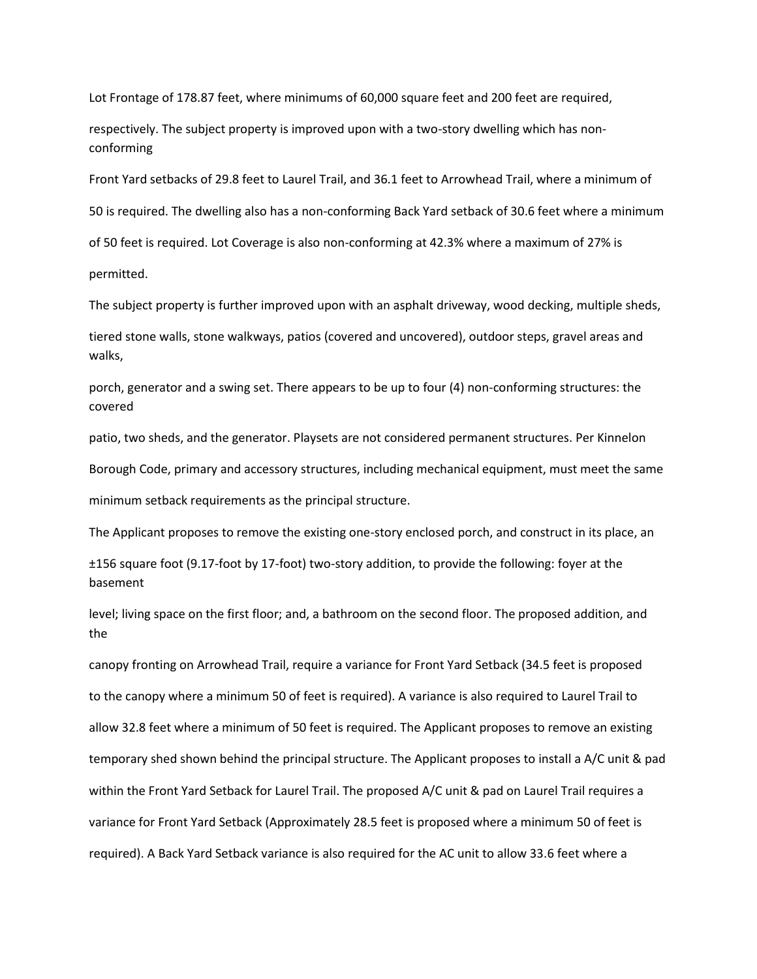Lot Frontage of 178.87 feet, where minimums of 60,000 square feet and 200 feet are required,

respectively. The subject property is improved upon with a two-story dwelling which has nonconforming

Front Yard setbacks of 29.8 feet to Laurel Trail, and 36.1 feet to Arrowhead Trail, where a minimum of

50 is required. The dwelling also has a non-conforming Back Yard setback of 30.6 feet where a minimum

of 50 feet is required. Lot Coverage is also non-conforming at 42.3% where a maximum of 27% is

permitted.

The subject property is further improved upon with an asphalt driveway, wood decking, multiple sheds,

tiered stone walls, stone walkways, patios (covered and uncovered), outdoor steps, gravel areas and walks,

porch, generator and a swing set. There appears to be up to four (4) non-conforming structures: the covered

patio, two sheds, and the generator. Playsets are not considered permanent structures. Per Kinnelon Borough Code, primary and accessory structures, including mechanical equipment, must meet the same minimum setback requirements as the principal structure.

The Applicant proposes to remove the existing one-story enclosed porch, and construct in its place, an

±156 square foot (9.17-foot by 17-foot) two-story addition, to provide the following: foyer at the basement

level; living space on the first floor; and, a bathroom on the second floor. The proposed addition, and the

canopy fronting on Arrowhead Trail, require a variance for Front Yard Setback (34.5 feet is proposed to the canopy where a minimum 50 of feet is required). A variance is also required to Laurel Trail to allow 32.8 feet where a minimum of 50 feet is required. The Applicant proposes to remove an existing temporary shed shown behind the principal structure. The Applicant proposes to install a A/C unit & pad within the Front Yard Setback for Laurel Trail. The proposed A/C unit & pad on Laurel Trail requires a variance for Front Yard Setback (Approximately 28.5 feet is proposed where a minimum 50 of feet is required). A Back Yard Setback variance is also required for the AC unit to allow 33.6 feet where a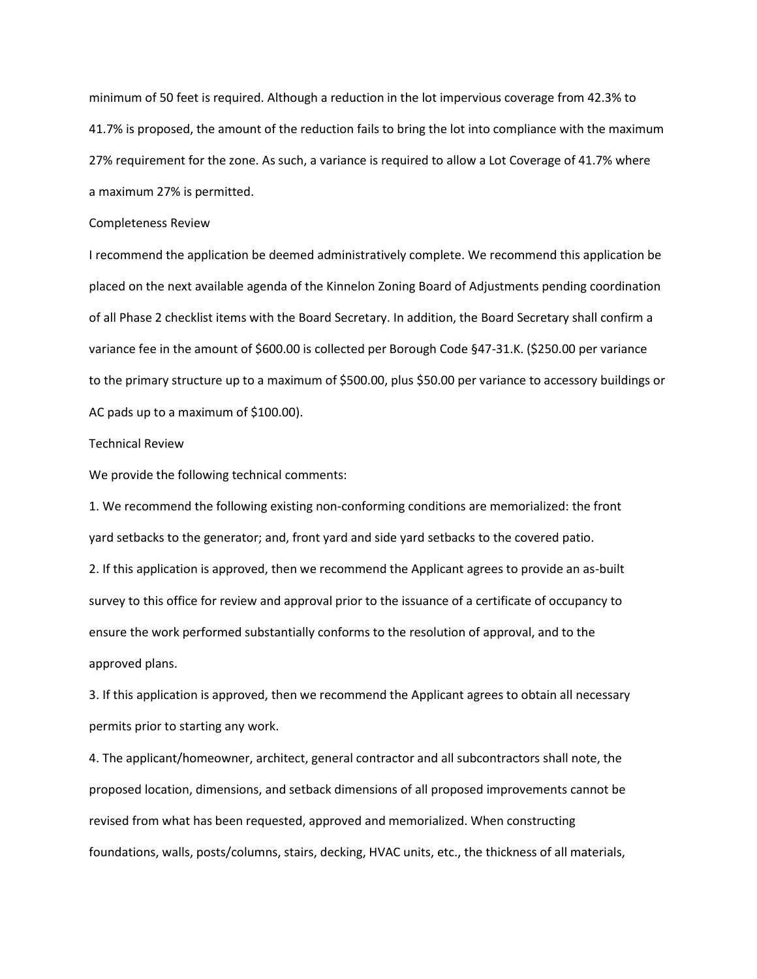minimum of 50 feet is required. Although a reduction in the lot impervious coverage from 42.3% to 41.7% is proposed, the amount of the reduction fails to bring the lot into compliance with the maximum 27% requirement for the zone. As such, a variance is required to allow a Lot Coverage of 41.7% where a maximum 27% is permitted.

### Completeness Review

I recommend the application be deemed administratively complete. We recommend this application be placed on the next available agenda of the Kinnelon Zoning Board of Adjustments pending coordination of all Phase 2 checklist items with the Board Secretary. In addition, the Board Secretary shall confirm a variance fee in the amount of \$600.00 is collected per Borough Code §47-31.K. (\$250.00 per variance to the primary structure up to a maximum of \$500.00, plus \$50.00 per variance to accessory buildings or AC pads up to a maximum of \$100.00).

### Technical Review

We provide the following technical comments:

1. We recommend the following existing non-conforming conditions are memorialized: the front yard setbacks to the generator; and, front yard and side yard setbacks to the covered patio. 2. If this application is approved, then we recommend the Applicant agrees to provide an as-built survey to this office for review and approval prior to the issuance of a certificate of occupancy to ensure the work performed substantially conforms to the resolution of approval, and to the approved plans.

3. If this application is approved, then we recommend the Applicant agrees to obtain all necessary permits prior to starting any work.

4. The applicant/homeowner, architect, general contractor and all subcontractors shall note, the proposed location, dimensions, and setback dimensions of all proposed improvements cannot be revised from what has been requested, approved and memorialized. When constructing foundations, walls, posts/columns, stairs, decking, HVAC units, etc., the thickness of all materials,